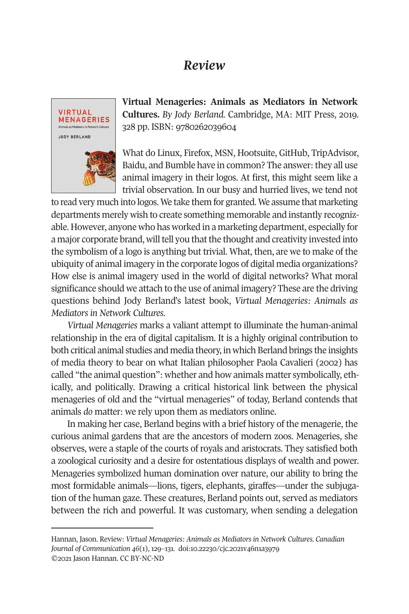## *Review*



**Virtual Menageries: Animals as Mediators in Network Cultures.** *By Jody Berland.* Cambridge, MA: MIT Press, 2019. 328 pp. ISBN: 9780262039604

What do Linux, Firefox, MSN, Hootsuite, GitHub, TripAdvisor, Baidu, and Bumble have in common? The answer: they all use animal imagery in their logos. At first, this might seem like a trivial observation. In our busy and hurried lives, we tend not

to read very much into logos. We take them for granted. We assume that marketing departments merely wish to create something memorable and instantly recognizable. However, anyone who has worked in a marketing department, especially for a major corporate brand, will tell you that the thought and creativity invested into the symbolism of a logo is anything but trivial. What, then, are we to make of the ubiquity of animal imagery in the corporate logos of digital media organizations? How else is animal imagery used in the world of digital networks? What moral significance should we attach to the use of animal imagery? These are the driving questions behind Jody Berland's latest book, *Virtual Menageries: Animals as Mediators in Network Cultures*.

*Virtual Menageries* marks a valiant attempt to illuminate the human-animal relationship in the era of digital capitalism. It is a highly original contribution to both critical animal studies and media theory, in which Berland brings the insights of media theory to bear on what Italian philosopher Paola Cavalieri (2002) has called "the animal question": whether and how animals matter symbolically, ethically, and politically. Drawing a critical historical link between the physical menageries of old and the "virtual menageries" of today, Berland contends that animals *do* matter: we rely upon them as mediators online.

In making her case, Berland begins with a brief history of the menagerie, the curious animal gardens that are the ancestors of modern zoos. Menageries, she observes, were a staple of the courts of royals and aristocrats. They satisfied both a zoological curiosity and a desire for ostentatious displays of wealth and power. Menageries symbolized human domination over nature, our ability to bring the most formidable animals—lions, tigers, elephants, giraffes—under the subjugation of the human gaze. These creatures, Berland points out, served as mediators between the rich and powerful. It was customary, when sending a delegation

Hannan, Jason. Review: *Virtual Menageries: Animals as Mediators in Network Cultures. [Canadian](http://www.cjc-online.ca)  [Journal of Communication](http://www.cjc-online.ca) 46*(1), 129–131. doi[:10.22230/cjc.2021v46n1a3979](http://doi.org/10.22230/cjc.2021v46n1a3979)  ©2021 Jason Hannan. CC BY-NC-ND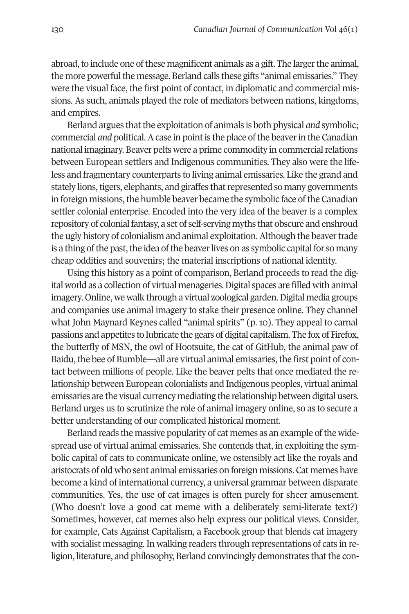abroad, to include one of these magnificent animals as a gift. The larger the animal, the more powerful the message. Berland calls these gifts "animal emissaries." They were the visual face, the first point of contact, in diplomatic and commercial missions. As such, animals played the role of mediators between nations, kingdoms, and empires.

Berland argues that the exploitation of animals is both physical *and* symbolic; commercial *and* political. A case in point is the place of the beaver in the Canadian national imaginary. Beaver pelts were a prime commodity in commercial relations between European settlers and Indigenous communities. They also were the lifeless and fragmentary counterparts to living animal emissaries. Like the grand and stately lions, tigers, elephants, and giraffes that represented so many governments in foreign missions, the humble beaver became the symbolic face of the Canadian settler colonial enterprise. Encoded into the very idea of the beaver is a complex repository of colonial fantasy, a set of self-serving myths that obscure and enshroud the ugly history of colonialism and animal exploitation. Although the beaver trade is a thing of the past, the idea of the beaver lives on as symbolic capital for so many cheap oddities and souvenirs; the material inscriptions of national identity.

Using this history as a point of comparison, Berland proceeds to read the digital world as a collection of virtual menageries. Digital spaces are filled with animal imagery. Online, we walk through a virtual zoological garden. Digital media groups and companies use animal imagery to stake their presence online. They channel what John Maynard Keynes called "animal spirits" (p. 10). They appeal to carnal passions and appetites to lubricate the gears of digital capitalism. The fox of Firefox, the butterfly of MSN, the owl of Hootsuite, the cat of GitHub, the animal paw of Baidu, the bee of Bumble—all are virtual animal emissaries, the first point of contact between millions of people. Like the beaver pelts that once mediated the relationship between European colonialists and Indigenous peoples, virtual animal emissaries are the visual currency mediating the relationship between digital users. Berland urges us to scrutinize the role of animal imagery online, so as to secure a better understanding of our complicated historical moment.

Berland reads the massive popularity of cat memes as an example of the widespread use of virtual animal emissaries. She contends that, in exploiting the symbolic capital of cats to communicate online, we ostensibly act like the royals and aristocrats of old who sent animal emissaries on foreign missions. Cat memes have become a kind of international currency, a universal grammar between disparate communities. Yes, the use of cat images is often purely for sheer amusement. (Who doesn't love a good cat meme with a deliberately semi-literate text?) Sometimes, however, cat memes also help express our political views. Consider, for example, Cats Against Capitalism, a Facebook group that blends cat imagery with socialist messaging. In walking readers through representations of cats in religion, literature, and philosophy, Berland convincingly demonstrates that the con